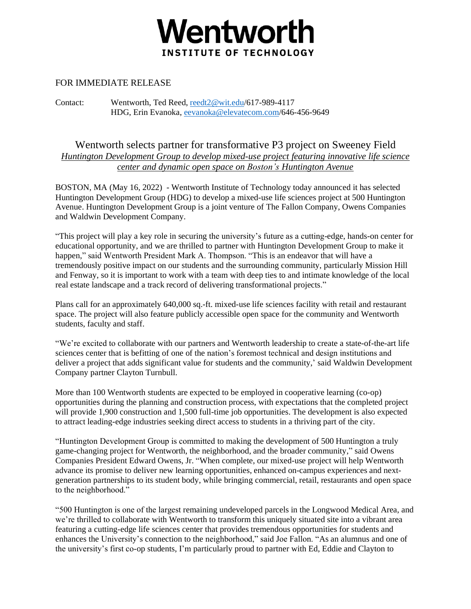

## FOR IMMEDIATE RELEASE

Contact: Wentworth, Ted Reed, [reedt2@wit.edu/](mailto:reedt2@wit.edu)617-989-4117 HDG, Erin Evanoka, [eevanoka@elevatecom.com/](mailto:eevanoka@elevatecom.com)646-456-9649

Wentworth selects partner for transformative P3 project on Sweeney Field *Huntington Development Group to develop mixed-use project featuring innovative life science center and dynamic open space on Boston's Huntington Avenue*

BOSTON, MA (May 16, 2022) - Wentworth Institute of Technology today announced it has selected Huntington Development Group (HDG) to develop a mixed-use life sciences project at 500 Huntington Avenue. Huntington Development Group is a joint venture of The Fallon Company, Owens Companies and Waldwin Development Company.

"This project will play a key role in securing the university's future as a cutting-edge, hands-on center for educational opportunity, and we are thrilled to partner with Huntington Development Group to make it happen," said Wentworth President Mark A. Thompson. "This is an endeavor that will have a tremendously positive impact on our students and the surrounding community, particularly Mission Hill and Fenway, so it is important to work with a team with deep ties to and intimate knowledge of the local real estate landscape and a track record of delivering transformational projects."

Plans call for an approximately 640,000 sq.-ft. mixed-use life sciences facility with retail and restaurant space. The project will also feature publicly accessible open space for the community and Wentworth students, faculty and staff.

"We're excited to collaborate with our partners and Wentworth leadership to create a state-of-the-art life sciences center that is befitting of one of the nation's foremost technical and design institutions and deliver a project that adds significant value for students and the community,' said Waldwin Development Company partner Clayton Turnbull.

More than 100 Wentworth students are expected to be employed in cooperative learning (co-op) opportunities during the planning and construction process, with expectations that the completed project will provide 1,900 construction and 1,500 full-time job opportunities. The development is also expected to attract leading-edge industries seeking direct access to students in a thriving part of the city.

"Huntington Development Group is committed to making the development of 500 Huntington a truly game-changing project for Wentworth, the neighborhood, and the broader community," said Owens Companies President Edward Owens, Jr. "When complete, our mixed-use project will help Wentworth advance its promise to deliver new learning opportunities, enhanced on-campus experiences and nextgeneration partnerships to its student body, while bringing commercial, retail, restaurants and open space to the neighborhood."

"500 Huntington is one of the largest remaining undeveloped parcels in the Longwood Medical Area, and we're thrilled to collaborate with Wentworth to transform this uniquely situated site into a vibrant area featuring a cutting-edge life sciences center that provides tremendous opportunities for students and enhances the University's connection to the neighborhood," said Joe Fallon. "As an alumnus and one of the university's first co-op students, I'm particularly proud to partner with Ed, Eddie and Clayton to